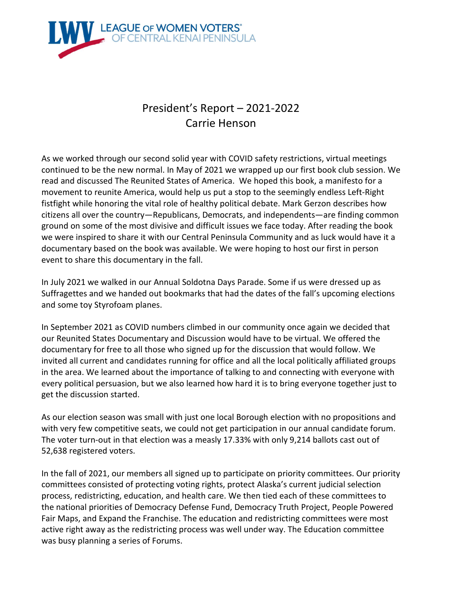

## President's Report – 2021-2022 Carrie Henson

As we worked through our second solid year with COVID safety restrictions, virtual meetings continued to be the new normal. In May of 2021 we wrapped up our first book club session. We read and discussed The Reunited States of America. We hoped this book, a manifesto for a movement to reunite America, would help us put a stop to the seemingly endless Left-Right fistfight while honoring the vital role of healthy political debate. Mark Gerzon describes how citizens all over the country—Republicans, Democrats, and independents—are finding common ground on some of the most divisive and difficult issues we face today. After reading the book we were inspired to share it with our Central Peninsula Community and as luck would have it a documentary based on the book was available. We were hoping to host our first in person event to share this documentary in the fall.

In July 2021 we walked in our Annual Soldotna Days Parade. Some if us were dressed up as Suffragettes and we handed out bookmarks that had the dates of the fall's upcoming elections and some toy Styrofoam planes.

In September 2021 as COVID numbers climbed in our community once again we decided that our Reunited States Documentary and Discussion would have to be virtual. We offered the documentary for free to all those who signed up for the discussion that would follow. We invited all current and candidates running for office and all the local politically affiliated groups in the area. We learned about the importance of talking to and connecting with everyone with every political persuasion, but we also learned how hard it is to bring everyone together just to get the discussion started.

As our election season was small with just one local Borough election with no propositions and with very few competitive seats, we could not get participation in our annual candidate forum. The voter turn-out in that election was a measly 17.33% with only 9,214 ballots cast out of 52,638 registered voters.

In the fall of 2021, our members all signed up to participate on priority committees. Our priority committees consisted of protecting voting rights, protect Alaska's current judicial selection process, redistricting, education, and health care. We then tied each of these committees to the national priorities of Democracy Defense Fund, Democracy Truth Project, People Powered Fair Maps, and Expand the Franchise. The education and redistricting committees were most active right away as the redistricting process was well under way. The Education committee was busy planning a series of Forums.